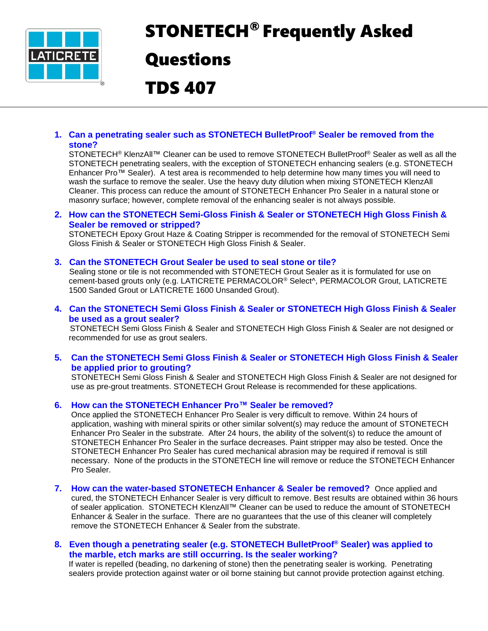

# STONETECH® Frequently Asked

# **Questions**

TDS 407

# **1. Can a penetrating sealer such as STONETECH BulletProof® Sealer be removed from the stone?**

STONETECH<sup>®</sup> KlenzAll™ Cleaner can be used to remove STONETECH BulletProof<sup>®</sup> Sealer as well as all the STONETECH penetrating sealers, with the exception of STONETECH enhancing sealers (e.g. STONETECH Enhancer Pro™ Sealer). A test area is recommended to help determine how many times you will need to wash the surface to remove the sealer. Use the heavy duty dilution when mixing STONETECH KlenzAll Cleaner. This process can reduce the amount of STONETECH Enhancer Pro Sealer in a natural stone or masonry surface; however, complete removal of the enhancing sealer is not always possible.

# **2. How can the STONETECH Semi-Gloss Finish & Sealer or STONETECH High Gloss Finish & Sealer be removed or stripped?**

STONETECH Epoxy Grout Haze & Coating Stripper is recommended for the removal of STONETECH Semi Gloss Finish & Sealer or STONETECH High Gloss Finish & Sealer.

# **3. Can the STONETECH Grout Sealer be used to seal stone or tile?**

Sealing stone or tile is not recommended with STONETECH Grout Sealer as it is formulated for use on cement-based grouts only (e.g. LATICRETE PERMACOLOR® Select^, PERMACOLOR Grout, LATICRETE 1500 Sanded Grout or LATICRETE 1600 Unsanded Grout).

# **4. Can the STONETECH Semi Gloss Finish & Sealer or STONETECH High Gloss Finish & Sealer be used as a grout sealer?**

 STONETECH Semi Gloss Finish & Sealer and STONETECH High Gloss Finish & Sealer are not designed or recommended for use as grout sealers.

# **5. Can the STONETECH Semi Gloss Finish & Sealer or STONETECH High Gloss Finish & Sealer be applied prior to grouting?**

STONETECH Semi Gloss Finish & Sealer and STONETECH High Gloss Finish & Sealer are not designed for use as pre-grout treatments. STONETECH Grout Release is recommended for these applications.

# **6. How can the STONETECH Enhancer Pro™ Sealer be removed?**

Once applied the STONETECH Enhancer Pro Sealer is very difficult to remove. Within 24 hours of application, washing with mineral spirits or other similar solvent(s) may reduce the amount of STONETECH Enhancer Pro Sealer in the substrate. After 24 hours, the ability of the solvent(s) to reduce the amount of STONETECH Enhancer Pro Sealer in the surface decreases. Paint stripper may also be tested. Once the STONETECH Enhancer Pro Sealer has cured mechanical abrasion may be required if removal is still necessary. None of the products in the STONETECH line will remove or reduce the STONETECH Enhancer Pro Sealer.

**7. How can the water-based STONETECH Enhancer & Sealer be removed?** Once applied and cured, the STONETECH Enhancer Sealer is very difficult to remove. Best results are obtained within 36 hours of sealer application. STONETECH KlenzAll™ Cleaner can be used to reduce the amount of STONETECH Enhancer & Sealer in the surface. There are no guarantees that the use of this cleaner will completely remove the STONETECH Enhancer & Sealer from the substrate.

# **8. Even though a penetrating sealer (e.g. STONETECH BulletProof® Sealer) was applied to the marble, etch marks are still occurring. Is the sealer working?**

If water is repelled (beading, no darkening of stone) then the penetrating sealer is working. Penetrating sealers provide protection against water or oil borne staining but cannot provide protection against etching.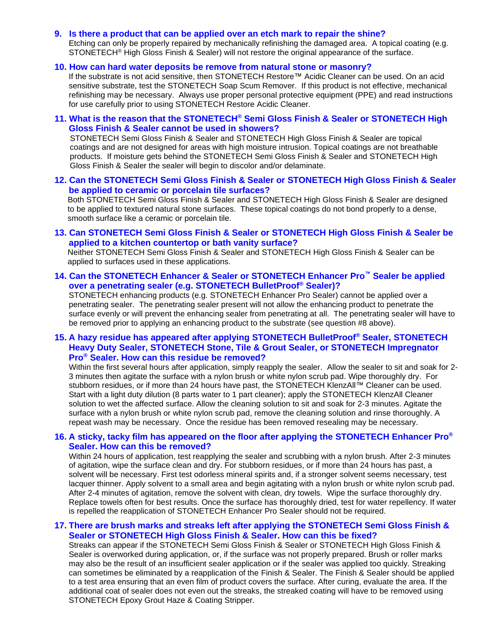#### **9. Is there a product that can be applied over an etch mark to repair the shine?**

Etching can only be properly repaired by mechanically refinishing the damaged area. A topical coating (e.g. STONETECH® High Gloss Finish & Sealer) will not restore the original appearance of the surface.

#### **10. How can hard water deposits be remove from natural stone or masonry?**

If the substrate is not acid sensitive, then STONETECH Restore™ Acidic Cleaner can be used. On an acid sensitive substrate, test the STONETECH Soap Scum Remover. If this product is not effective, mechanical refinishing may be necessary. Always use proper personal protective equipment (PPE) and read instructions for use carefully prior to using STONETECH Restore Acidic Cleaner.

**11. What is the reason that the STONETECH® Semi Gloss Finish & Sealer or STONETECH High Gloss Finish & Sealer cannot be used in showers?**

 STONETECH Semi Gloss Finish & Sealer and STONETECH High Gloss Finish & Sealer are topical coatings and are not designed for areas with high moisture intrusion. Topical coatings are not breathable products. If moisture gets behind the STONETECH Semi Gloss Finish & Sealer and STONETECH High Gloss Finish & Sealer the sealer will begin to discolor and/or delaminate.

**12. Can the STONETECH Semi Gloss Finish & Sealer or STONETECH High Gloss Finish & Sealer be applied to ceramic or porcelain tile surfaces?**

 Both STONETECH Semi Gloss Finish & Sealer and STONETECH High Gloss Finish & Sealer are designed to be applied to textured natural stone surfaces. These topical coatings do not bond properly to a dense, smooth surface like a ceramic or porcelain tile.

**13. Can STONETECH Semi Gloss Finish & Sealer or STONETECH High Gloss Finish & Sealer be applied to a kitchen countertop or bath vanity surface?**

 Neither STONETECH Semi Gloss Finish & Sealer and STONETECH High Gloss Finish & Sealer can be applied to surfaces used in these applications.

**14. Can the STONETECH Enhancer & Sealer or STONETECH Enhancer Pro™ Sealer be applied over a penetrating sealer (e.g. STONETECH BulletProof® Sealer)?**

STONETECH enhancing products (e.g. STONETECH Enhancer Pro Sealer) cannot be applied over a penetrating sealer. The penetrating sealer present will not allow the enhancing product to penetrate the surface evenly or will prevent the enhancing sealer from penetrating at all. The penetrating sealer will have to be removed prior to applying an enhancing product to the substrate (see question #8 above).

# **15. A hazy residue has appeared after applying STONETECH BulletProof® Sealer, STONETECH Heavy Duty Sealer, STONETECH Stone, Tile & Grout Sealer, or STONETECH Impregnator Pro® Sealer. How can this residue be removed?**

Within the first several hours after application, simply reapply the sealer. Allow the sealer to sit and soak for 2- 3 minutes then agitate the surface with a nylon brush or white nylon scrub pad. Wipe thoroughly dry. For stubborn residues, or if more than 24 hours have past, the STONETECH KlenzAll™ Cleaner can be used. Start with a light duty dilution (8 parts water to 1 part cleaner); apply the STONETECH KlenzAll Cleaner solution to wet the affected surface. Allow the cleaning solution to sit and soak for 2-3 minutes. Agitate the surface with a nylon brush or white nylon scrub pad, remove the cleaning solution and rinse thoroughly. A repeat wash may be necessary. Once the residue has been removed resealing may be necessary.

# **16. A sticky, tacky film has appeared on the floor after applying the STONETECH Enhancer Pro® Sealer. How can this be removed?**

Within 24 hours of application, test reapplying the sealer and scrubbing with a nylon brush. After 2-3 minutes of agitation, wipe the surface clean and dry. For stubborn residues, or if more than 24 hours has past, a solvent will be necessary. First test odorless mineral spirits and, if a stronger solvent seems necessary, test lacquer thinner. Apply solvent to a small area and begin agitating with a nylon brush or white nylon scrub pad. After 2-4 minutes of agitation, remove the solvent with clean, dry towels. Wipe the surface thoroughly dry. Replace towels often for best results. Once the surface has thoroughly dried, test for water repellency. If water is repelled the reapplication of STONETECH Enhancer Pro Sealer should not be required.

# **17. There are brush marks and streaks left after applying the STONETECH Semi Gloss Finish & Sealer or STONETECH High Gloss Finish & Sealer. How can this be fixed?**

Streaks can appear if the STONETECH Semi Gloss Finish & Sealer or STONETECH High Gloss Finish & Sealer is overworked during application, or, if the surface was not properly prepared. Brush or roller marks may also be the result of an insufficient sealer application or if the sealer was applied too quickly. Streaking can sometimes be eliminated by a reapplication of the Finish & Sealer. The Finish & Sealer should be applied to a test area ensuring that an even film of product covers the surface. After curing, evaluate the area. If the additional coat of sealer does not even out the streaks, the streaked coating will have to be removed using STONETECH Epoxy Grout Haze & Coating Stripper.